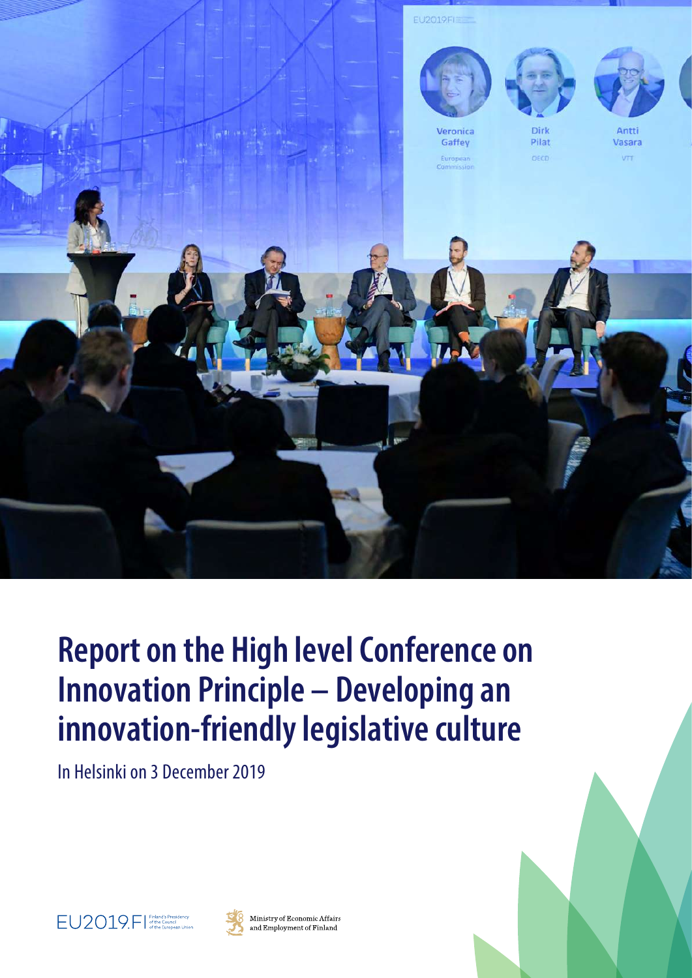

# **Report on the High level Conference on Innovation Principle – Developing an innovation-friendly legislative culture**

In Helsinki on 3 December 2019





Ministry of Economic Affairs and Employment of Finland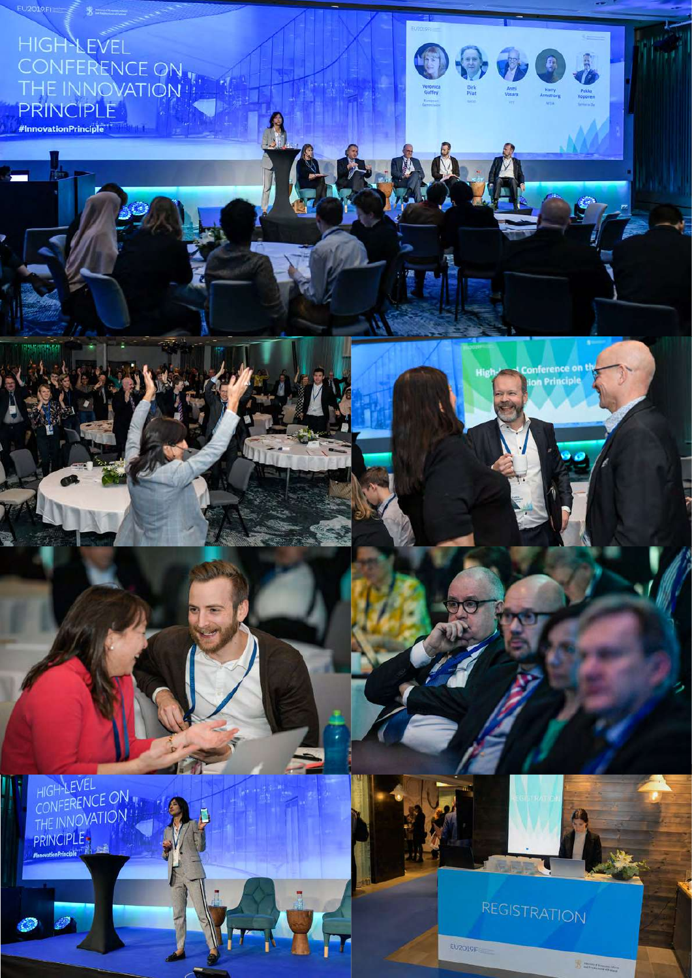HIGHNEVEL<br>CONFERENCE ON<br>THE INNOVATION!<br>PRINCIPLE #InnovationPrinciple

EU2019FI

HIGH-LEVEL<br>CONFERENCE ON قيامي

REGISTRATION

EUZOIPEL

 $\bullet$ 

Conference on th

Principle

Hig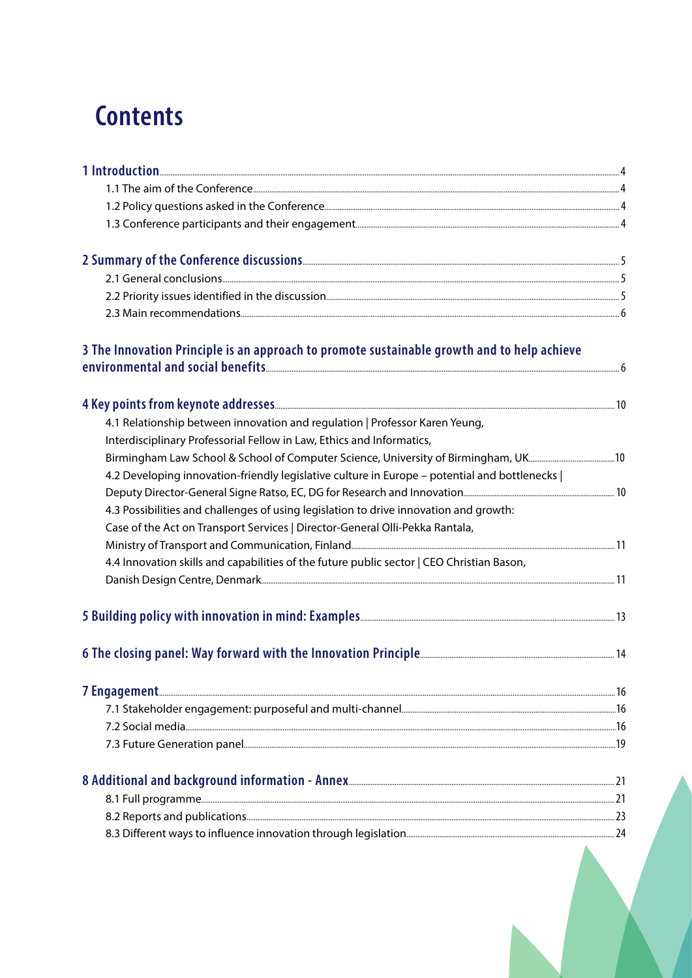# **Contents**

| 3 The Innovation Principle is an approach to promote sustainable growth and to help achieve  |  |
|----------------------------------------------------------------------------------------------|--|
|                                                                                              |  |
|                                                                                              |  |
| 4.1 Relationship between innovation and regulation   Professor Karen Yeung,                  |  |
| Interdisciplinary Professorial Fellow in Law, Ethics and Informatics,                        |  |
|                                                                                              |  |
| 4.2 Developing innovation-friendly legislative culture in Europe - potential and bottlenecks |  |
|                                                                                              |  |
| 4.3 Possibilities and challenges of using legislation to drive innovation and growth:        |  |
| Case of the Act on Transport Services   Director-General Olli-Pekka Rantala,                 |  |
|                                                                                              |  |
| 4.4 Innovation skills and capabilities of the future public sector   CEO Christian Bason,    |  |
|                                                                                              |  |
|                                                                                              |  |
|                                                                                              |  |
|                                                                                              |  |
|                                                                                              |  |
|                                                                                              |  |
|                                                                                              |  |
|                                                                                              |  |
|                                                                                              |  |
|                                                                                              |  |
|                                                                                              |  |
|                                                                                              |  |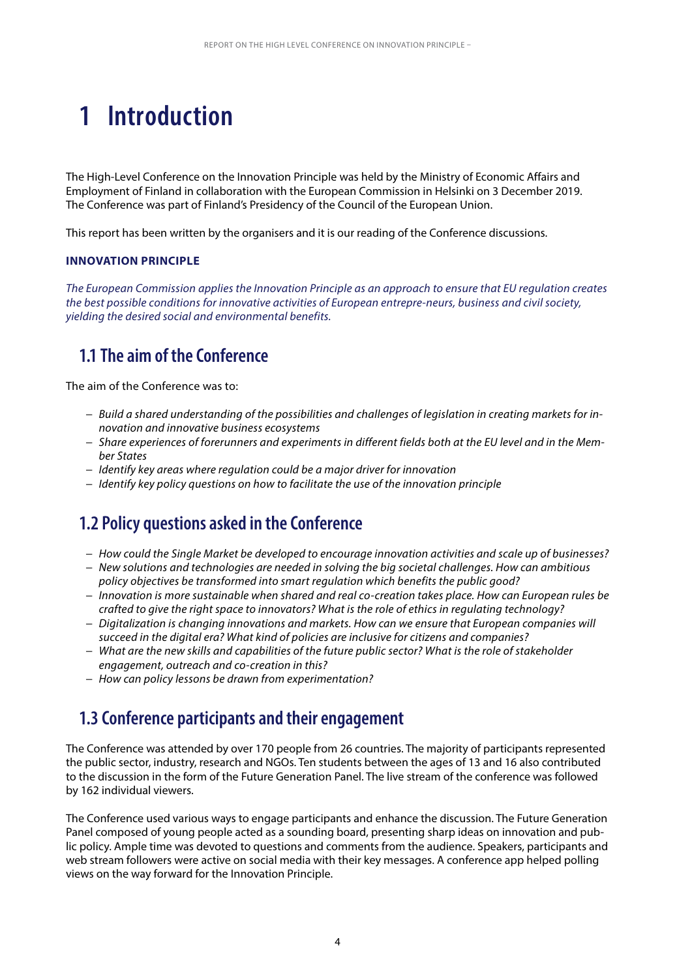# **1 Introduction**

The High-Level Conference on the Innovation Principle was held by the Ministry of Economic Affairs and Employment of Finland in collaboration with the European Commission in Helsinki on 3 December 2019. The Conference was part of Finland's Presidency of the Council of the European Union.

This report has been written by the organisers and it is our reading of the Conference discussions.

# **INNOVATION PRINCIPLE**

*The European Commission applies the Innovation Principle as an approach to ensure that EU regulation creates the best possible conditions for innovative activities of European entrepre-neurs, business and civil society, yielding the desired social and environmental benefits.*

# **1.1 The aim of the Conference**

The aim of the Conference was to:

- − *Build a shared understanding of the possibilities and challenges of legislation in creating markets for innovation and innovative business ecosystems*
- − *Share experiences of forerunners and experiments in different fields both at the EU level and in the Member States*
- − *Identify key areas where regulation could be a major driver for innovation*
- − *Identify key policy questions on how to facilitate the use of the innovation principle*

# **1.2 Policy questions asked in the Conference**

- − *How could the Single Market be developed to encourage innovation activities and scale up of businesses?*
- − *New solutions and technologies are needed in solving the big societal challenges. How can ambitious policy objectives be transformed into smart regulation which benefits the public good?*
- − *Innovation is more sustainable when shared and real co-creation takes place. How can European rules be crafted to give the right space to innovators? What is the role of ethics in regulating technology?*
- − *Digitalization is changing innovations and markets. How can we ensure that European companies will succeed in the digital era? What kind of policies are inclusive for citizens and companies?*
- − *What are the new skills and capabilities of the future public sector? What is the role of stakeholder engagement, outreach and co-creation in this?*
- − *How can policy lessons be drawn from experimentation?*

# **1.3 Conference participants and their engagement**

The Conference was attended by over 170 people from 26 countries. The majority of participants represented the public sector, industry, research and NGOs. Ten students between the ages of 13 and 16 also contributed to the discussion in the form of the Future Generation Panel. The live stream of the conference was followed by 162 individual viewers.

The Conference used various ways to engage participants and enhance the discussion. The Future Generation Panel composed of young people acted as a sounding board, presenting sharp ideas on innovation and public policy. Ample time was devoted to questions and comments from the audience. Speakers, participants and web stream followers were active on social media with their key messages. A conference app helped polling views on the way forward for the Innovation Principle.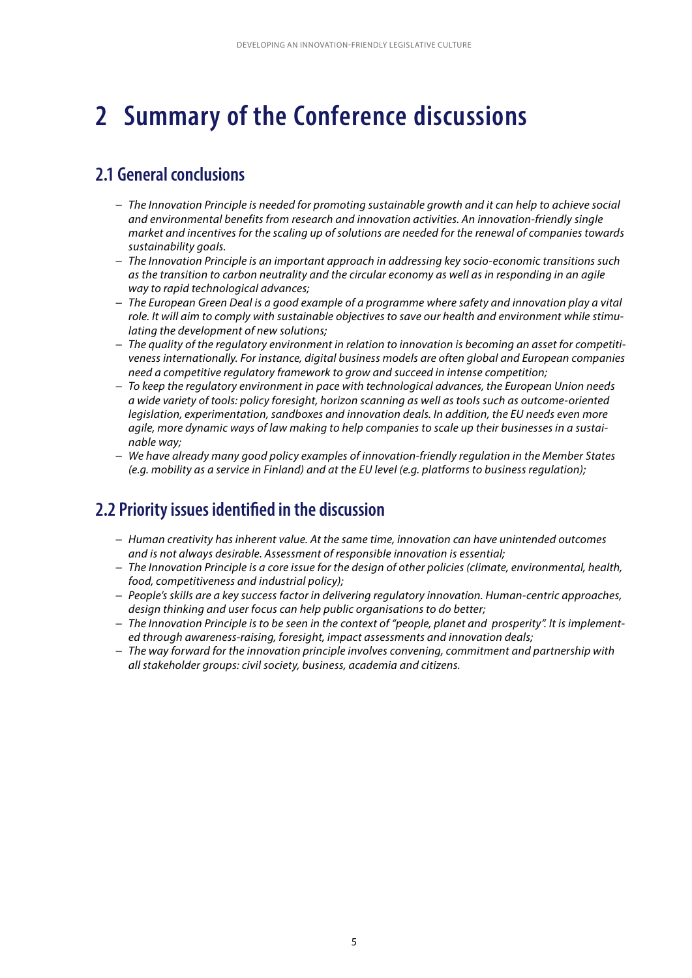# **2 Summary of the Conference discussions**

# **2.1 General conclusions**

- − *The Innovation Principle is needed for promoting sustainable growth and it can help to achieve social and environmental benefits from research and innovation activities. An innovation-friendly single market and incentives for the scaling up of solutions are needed for the renewal of companies towards sustainability goals.*
- − *The Innovation Principle is an important approach in addressing key socio-economic transitions such as the transition to carbon neutrality and the circular economy as well as in responding in an agile way to rapid technological advances;*
- − *The European Green Deal is a good example of a programme where safety and innovation play a vital role. It will aim to comply with sustainable objectives to save our health and environment while stimulating the development of new solutions;*
- − *The quality of the regulatory environment in relation to innovation is becoming an asset for competitiveness internationally. For instance, digital business models are often global and European companies need a competitive regulatory framework to grow and succeed in intense competition;*
- − *To keep the regulatory environment in pace with technological advances, the European Union needs a wide variety of tools: policy foresight, horizon scanning as well as tools such as outcome-oriented legislation, experimentation, sandboxes and innovation deals. In addition, the EU needs even more agile, more dynamic ways of law making to help companies to scale up their businesses in a sustainable way;*
- − *We have already many good policy examples of innovation-friendly regulation in the Member States (e.g. mobility as a service in Finland) and at the EU level (e.g. platforms to business regulation);*

# **2.2 Priority issues identified in the discussion**

- − *Human creativity has inherent value. At the same time, innovation can have unintended outcomes and is not always desirable. Assessment of responsible innovation is essential;*
- − *The Innovation Principle is a core issue for the design of other policies (climate, environmental, health, food, competitiveness and industrial policy);*
- − *People's skills are a key success factor in delivering regulatory innovation. Human-centric approaches, design thinking and user focus can help public organisations to do better;*
- − *The Innovation Principle is to be seen in the context of "people, planet and prosperity". It is implemented through awareness-raising, foresight, impact assessments and innovation deals;*
- − *The way forward for the innovation principle involves convening, commitment and partnership with all stakeholder groups: civil society, business, academia and citizens.*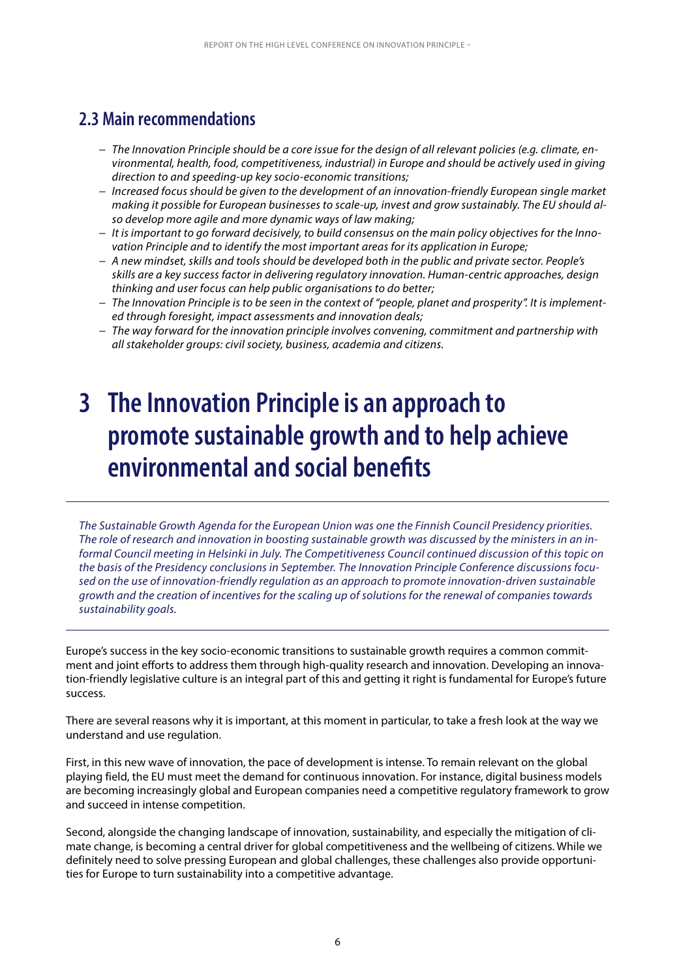# **2.3 Main recommendations**

- − *The Innovation Principle should be a core issue for the design of all relevant policies (e.g. climate, environmental, health, food, competitiveness, industrial) in Europe and should be actively used in giving direction to and speeding-up key socio-economic transitions;*
- − *Increased focus should be given to the development of an innovation-friendly European single market making it possible for European businesses to scale-up, invest and grow sustainably. The EU should also develop more agile and more dynamic ways of law making;*
- − *It is important to go forward decisively, to build consensus on the main policy objectives for the Innovation Principle and to identify the most important areas for its application in Europe;*
- − *A new mindset, skills and tools should be developed both in the public and private sector. People's skills are a key success factor in delivering regulatory innovation. Human-centric approaches, design thinking and user focus can help public organisations to do better;*
- − *The Innovation Principle is to be seen in the context of "people, planet and prosperity". It is implemented through foresight, impact assessments and innovation deals;*
- − *The way forward for the innovation principle involves convening, commitment and partnership with all stakeholder groups: civil society, business, academia and citizens.*

# **3 The Innovation Principle is an approach to promote sustainable growth and to help achieve environmental and social benefits**

*The Sustainable Growth Agenda for the European Union was one the Finnish Council Presidency priorities. The role of research and innovation in boosting sustainable growth was discussed by the ministers in an informal Council meeting in Helsinki in July. The Competitiveness Council continued discussion of this topic on the basis of the Presidency conclusions in September. The Innovation Principle Conference discussions focused on the use of innovation-friendly regulation as an approach to promote innovation-driven sustainable growth and the creation of incentives for the scaling up of solutions for the renewal of companies towards sustainability goals.* 

Europe's success in the key socio-economic transitions to sustainable growth requires a common commitment and joint efforts to address them through high-quality research and innovation. Developing an innovation-friendly legislative culture is an integral part of this and getting it right is fundamental for Europe's future success.

There are several reasons why it is important, at this moment in particular, to take a fresh look at the way we understand and use regulation.

First, in this new wave of innovation, the pace of development is intense. To remain relevant on the global playing field, the EU must meet the demand for continuous innovation. For instance, digital business models are becoming increasingly global and European companies need a competitive regulatory framework to grow and succeed in intense competition.

Second, alongside the changing landscape of innovation, sustainability, and especially the mitigation of climate change, is becoming a central driver for global competitiveness and the wellbeing of citizens. While we definitely need to solve pressing European and global challenges, these challenges also provide opportunities for Europe to turn sustainability into a competitive advantage.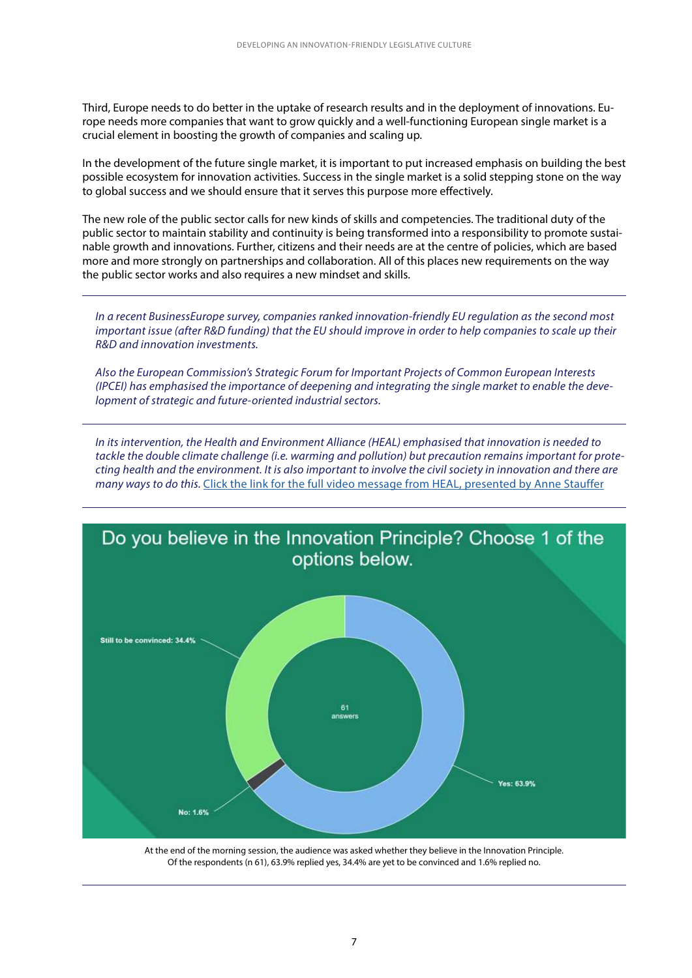Third, Europe needs to do better in the uptake of research results and in the deployment of innovations. Europe needs more companies that want to grow quickly and a well-functioning European single market is a crucial element in boosting the growth of companies and scaling up.

In the development of the future single market, it is important to put increased emphasis on building the best possible ecosystem for innovation activities. Success in the single market is a solid stepping stone on the way to global success and we should ensure that it serves this purpose more effectively.

The new role of the public sector calls for new kinds of skills and competencies. The traditional duty of the public sector to maintain stability and continuity is being transformed into a responsibility to promote sustainable growth and innovations. Further, citizens and their needs are at the centre of policies, which are based more and more strongly on partnerships and collaboration. All of this places new requirements on the way the public sector works and also requires a new mindset and skills.

*In a recent BusinessEurope survey, companies ranked innovation-friendly EU regulation as the second most important issue (after R&D funding) that the EU should improve in order to help companies to scale up their R&D and innovation investments.* 

*Also the European Commission's Strategic Forum for Important Projects of Common European Interests (IPCEI) has emphasised the importance of deepening and integrating the single market to enable the development of strategic and future-oriented industrial sectors.*

*In its intervention, the Health and Environment Alliance (HEAL) emphasised that innovation is needed to tackle the double climate challenge (i.e. warming and pollution) but precaution remains important for protecting health and the environment. It is also important to involve the civil society in innovation and there are many ways to do this.* [Click the link for the full video message from HEAL, presented by Anne Stauffer](http://Click the link for the full video message from HEAL, presented by Anne Stauffer)



At the end of the morning session, the audience was asked whether they believe in the Innovation Principle. Of the respondents (n 61), 63.9% replied yes, 34.4% are yet to be convinced and 1.6% replied no.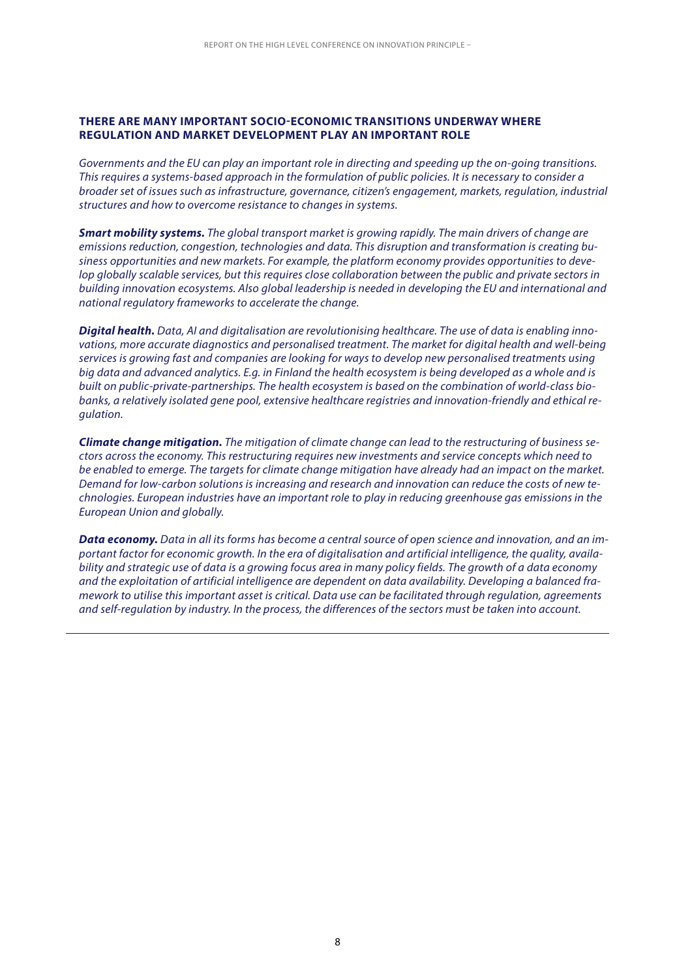## **THERE ARE MANY IMPORTANT SOCIO-ECONOMIC TRANSITIONS UNDERWAY WHERE REGULATION AND MARKET DEVELOPMENT PLAY AN IMPORTANT ROLE**

*Governments and the EU can play an important role in directing and speeding up the on-going transitions. This requires a systems-based approach in the formulation of public policies. It is necessary to consider a broader set of issues such as infrastructure, governance, citizen's engagement, markets, regulation, industrial structures and how to overcome resistance to changes in systems.* 

*Smart mobility systems. The global transport market is growing rapidly. The main drivers of change are emissions reduction, congestion, technologies and data. This disruption and transformation is creating business opportunities and new markets. For example, the platform economy provides opportunities to develop globally scalable services, but this requires close collaboration between the public and private sectors in building innovation ecosystems. Also global leadership is needed in developing the EU and international and national regulatory frameworks to accelerate the change.* 

*Digital health. Data, AI and digitalisation are revolutionising healthcare. The use of data is enabling innovations, more accurate diagnostics and personalised treatment. The market for digital health and well-being services is growing fast and companies are looking for ways to develop new personalised treatments using big data and advanced analytics. E.g. in Finland the health ecosystem is being developed as a whole and is built on public-private-partnerships. The health ecosystem is based on the combination of world-class biobanks, a relatively isolated gene pool, extensive healthcare registries and innovation-friendly and ethical regulation.* 

*Climate change mitigation. The mitigation of climate change can lead to the restructuring of business sectors across the economy. This restructuring requires new investments and service concepts which need to be enabled to emerge. The targets for climate change mitigation have already had an impact on the market. Demand for low-carbon solutions is increasing and research and innovation can reduce the costs of new technologies. European industries have an important role to play in reducing greenhouse gas emissions in the European Union and globally.* 

*Data economy. Data in all its forms has become a central source of open science and innovation, and an important factor for economic growth. In the era of digitalisation and artificial intelligence, the quality, availability and strategic use of data is a growing focus area in many policy fields. The growth of a data economy and the exploitation of artificial intelligence are dependent on data availability. Developing a balanced framework to utilise this important asset is critical. Data use can be facilitated through regulation, agreements and self-regulation by industry. In the process, the differences of the sectors must be taken into account.*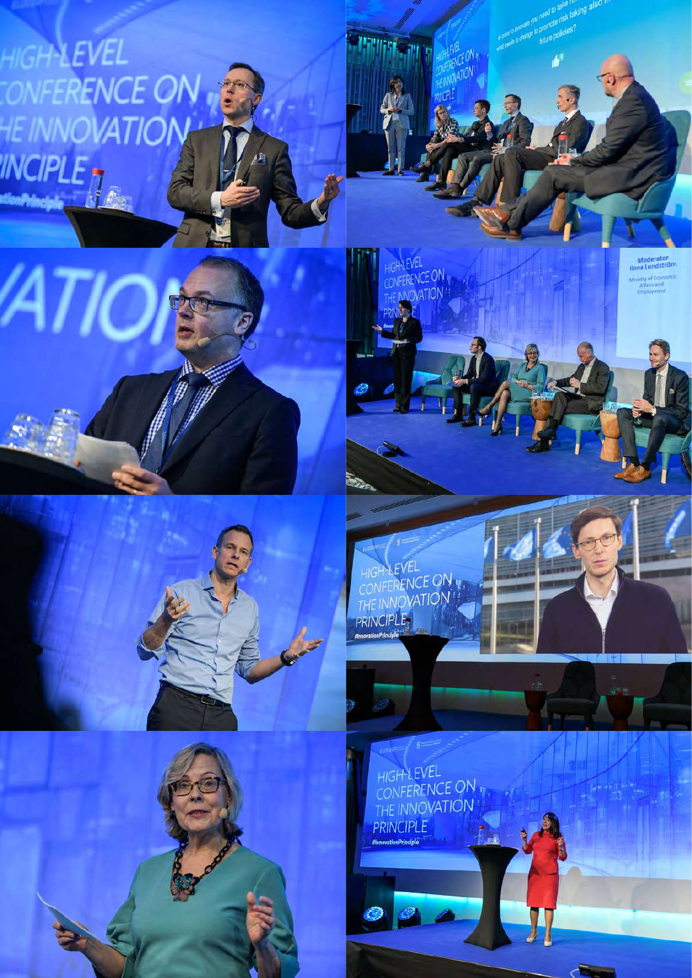HIGH LEVEL **RENCE ON INCIPLE**  $\begin{picture}(20,20) \put(0,0){\vector(0,1){10}} \put(15,0){\vector(0,1){10}} \put(15,0){\vector(0,1){10}} \put(15,0){\vector(0,1){10}} \put(15,0){\vector(0,1){10}} \put(15,0){\vector(0,1){10}} \put(15,0){\vector(0,1){10}} \put(15,0){\vector(0,1){10}} \put(15,0){\vector(0,1){10}} \put(15,0){\vector(0,1){10}} \put(15,0){\vector(0,1){10}} \put(15,0){\vector(0$ 

Moderator<br>Ilona Lundström<br>Ministry of Economic<br>Affairs and<br>Employment

CONFERENCE ON

**VATION** 

naman



ek

HIGH-LEVEL<br>CONFERENCE ON<br>THE INNOVATION<br>PRINCIPLE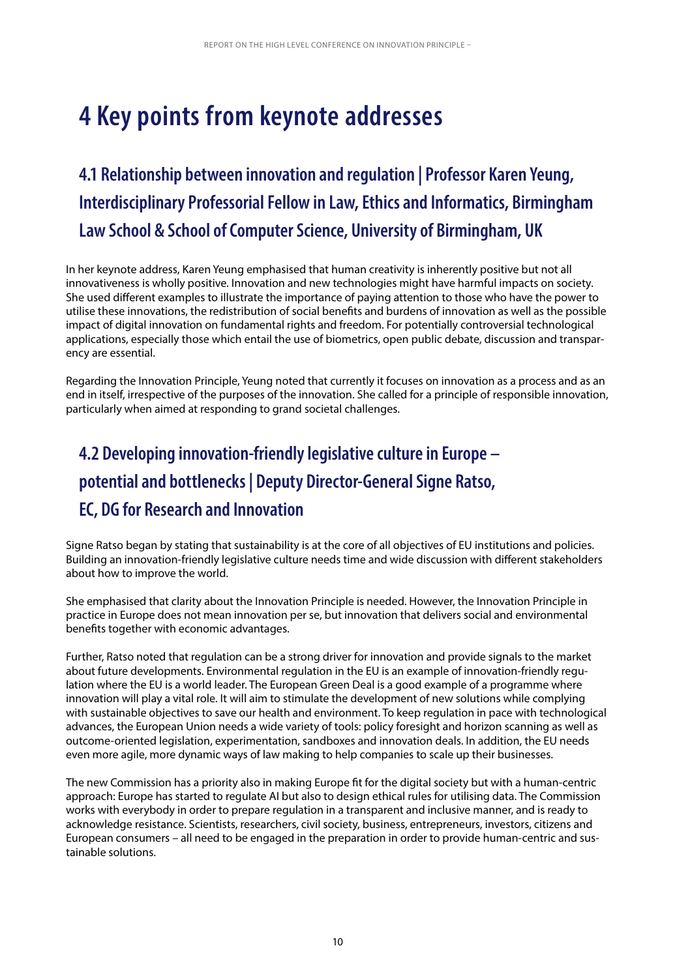# **4 Key points from keynote addresses**

**4.1 Relationship between innovation and regulation | Professor Karen Yeung, Interdisciplinary Professorial Fellow in Law, Ethics and Informatics, Birmingham Law School & School of Computer Science, University of Birmingham, UK**

In her keynote address, Karen Yeung emphasised that human creativity is inherently positive but not all innovativeness is wholly positive. Innovation and new technologies might have harmful impacts on society. She used different examples to illustrate the importance of paying attention to those who have the power to utilise these innovations, the redistribution of social benefits and burdens of innovation as well as the possible impact of digital innovation on fundamental rights and freedom. For potentially controversial technological applications, especially those which entail the use of biometrics, open public debate, discussion and transparency are essential.

Regarding the Innovation Principle, Yeung noted that currently it focuses on innovation as a process and as an end in itself, irrespective of the purposes of the innovation. She called for a principle of responsible innovation, particularly when aimed at responding to grand societal challenges.

# **4.2 Developing innovation-friendly legislative culture in Europe – potential and bottlenecks | Deputy Director-General Signe Ratso, EC, DG for Research and Innovation**

Signe Ratso began by stating that sustainability is at the core of all objectives of EU institutions and policies. Building an innovation-friendly legislative culture needs time and wide discussion with different stakeholders about how to improve the world.

She emphasised that clarity about the Innovation Principle is needed. However, the Innovation Principle in practice in Europe does not mean innovation per se, but innovation that delivers social and environmental benefits together with economic advantages.

Further, Ratso noted that regulation can be a strong driver for innovation and provide signals to the market about future developments. Environmental regulation in the EU is an example of innovation-friendly regulation where the EU is a world leader. The European Green Deal is a good example of a programme where innovation will play a vital role. It will aim to stimulate the development of new solutions while complying with sustainable objectives to save our health and environment. To keep regulation in pace with technological advances, the European Union needs a wide variety of tools: policy foresight and horizon scanning as well as outcome-oriented legislation, experimentation, sandboxes and innovation deals. In addition, the EU needs even more agile, more dynamic ways of law making to help companies to scale up their businesses.

The new Commission has a priority also in making Europe fit for the digital society but with a human-centric approach: Europe has started to regulate AI but also to design ethical rules for utilising data. The Commission works with everybody in order to prepare regulation in a transparent and inclusive manner, and is ready to acknowledge resistance. Scientists, researchers, civil society, business, entrepreneurs, investors, citizens and European consumers – all need to be engaged in the preparation in order to provide human-centric and sustainable solutions.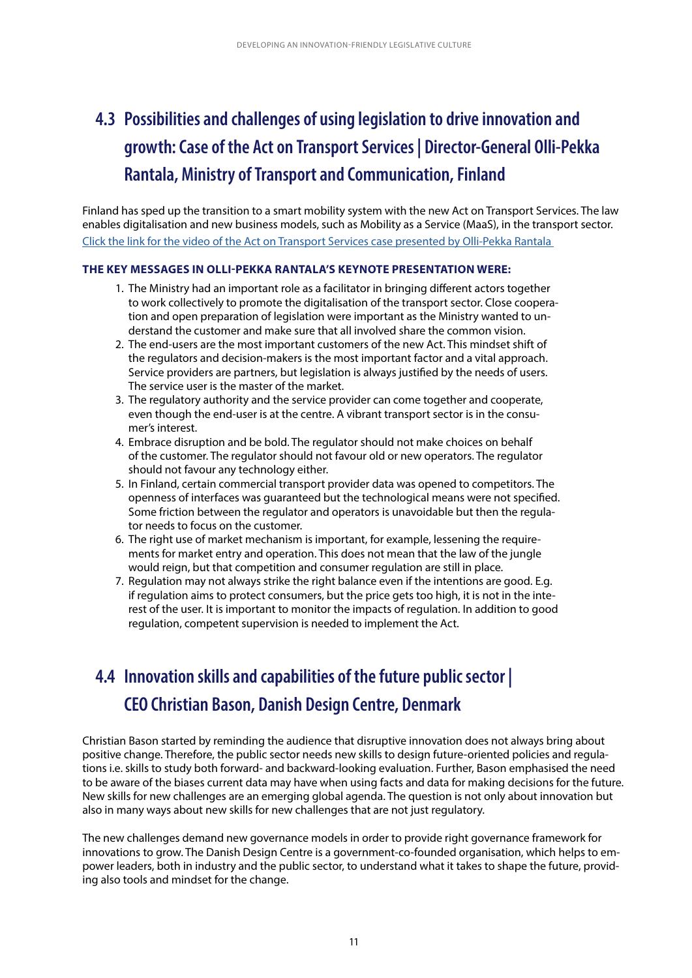# **4.3 Possibilities and challenges of using legislation to drive innovation and growth: Case of the Act on Transport Services | Director-General Olli-Pekka Rantala, Ministry of Transport and Communication, Finland**

Finland has sped up the transition to a smart mobility system with the new Act on Transport Services. The law enables digitalisation and new business models, such as Mobility as a Service (MaaS), in the transport sector. [Click the link for the video of the Act on Transport Services case presented by Olli-Pekka Rantala](http://Click the link for the video of the Act on Transport Services case presented by Olli-Pekka Rantala  ) 

# **THE KEY MESSAGES IN OLLI-PEKKA RANTALA'S KEYNOTE PRESENTATION WERE:**

- 1. The Ministry had an important role as a facilitator in bringing different actors together to work collectively to promote the digitalisation of the transport sector. Close cooperation and open preparation of legislation were important as the Ministry wanted to understand the customer and make sure that all involved share the common vision.
- 2. The end-users are the most important customers of the new Act. This mindset shift of the regulators and decision-makers is the most important factor and a vital approach. Service providers are partners, but legislation is always justified by the needs of users. The service user is the master of the market.
- 3. The regulatory authority and the service provider can come together and cooperate, even though the end-user is at the centre. A vibrant transport sector is in the consumer's interest.
- 4. Embrace disruption and be bold. The regulator should not make choices on behalf of the customer. The regulator should not favour old or new operators. The regulator should not favour any technology either.
- 5. In Finland, certain commercial transport provider data was opened to competitors. The openness of interfaces was guaranteed but the technological means were not specified. Some friction between the regulator and operators is unavoidable but then the regulator needs to focus on the customer.
- 6. The right use of market mechanism is important, for example, lessening the requirements for market entry and operation. This does not mean that the law of the jungle would reign, but that competition and consumer regulation are still in place.
- 7. Regulation may not always strike the right balance even if the intentions are good. E.g. if regulation aims to protect consumers, but the price gets too high, it is not in the interest of the user. It is important to monitor the impacts of regulation. In addition to good regulation, competent supervision is needed to implement the Act.

# **4.4 Innovation skills and capabilities of the future public sector | CEO Christian Bason, Danish Design Centre, Denmark**

Christian Bason started by reminding the audience that disruptive innovation does not always bring about positive change. Therefore, the public sector needs new skills to design future-oriented policies and regulations i.e. skills to study both forward- and backward-looking evaluation. Further, Bason emphasised the need to be aware of the biases current data may have when using facts and data for making decisions for the future. New skills for new challenges are an emerging global agenda. The question is not only about innovation but also in many ways about new skills for new challenges that are not just regulatory.

The new challenges demand new governance models in order to provide right governance framework for innovations to grow. The Danish Design Centre is a government-co-founded organisation, which helps to empower leaders, both in industry and the public sector, to understand what it takes to shape the future, providing also tools and mindset for the change.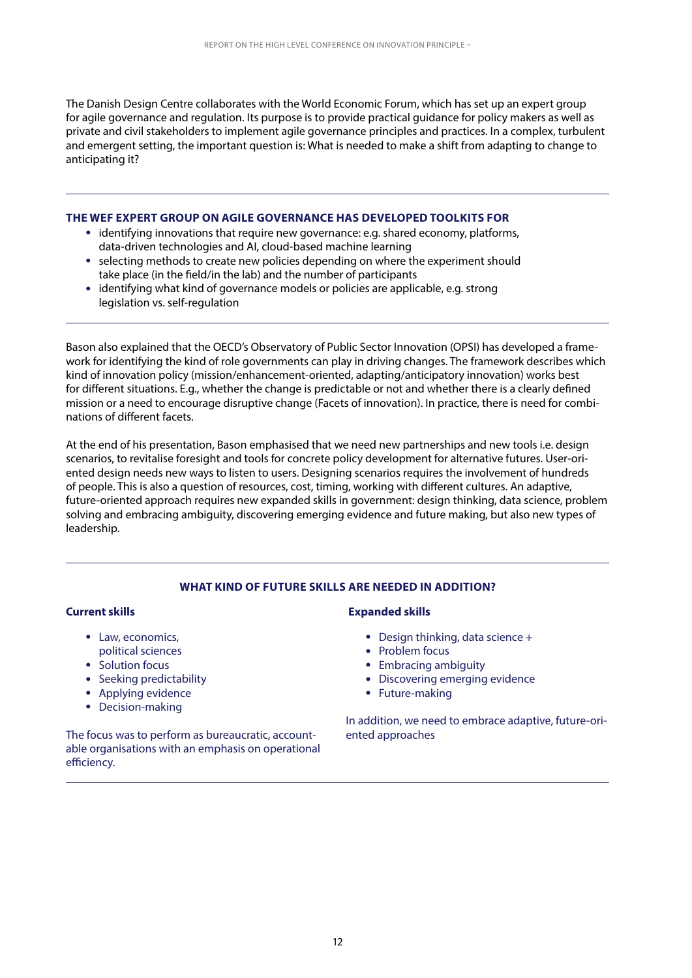The Danish Design Centre collaborates with the World Economic Forum, which has set up an expert group for agile governance and regulation. Its purpose is to provide practical guidance for policy makers as well as private and civil stakeholders to implement agile governance principles and practices. In a complex, turbulent and emergent setting, the important question is: What is needed to make a shift from adapting to change to anticipating it?

### **THE WEF EXPERT GROUP ON AGILE GOVERNANCE HAS DEVELOPED TOOLKITS FOR**

- identifying innovations that require new governance: e.g. shared economy, platforms, data-driven technologies and AI, cloud-based machine learning
- selecting methods to create new policies depending on where the experiment should take place (in the field/in the lab) and the number of participants
- identifying what kind of governance models or policies are applicable, e.g. strong legislation vs. self-regulation

Bason also explained that the OECD's Observatory of Public Sector Innovation (OPSI) has developed a framework for identifying the kind of role governments can play in driving changes. The framework describes which kind of innovation policy (mission/enhancement-oriented, adapting/anticipatory innovation) works best for different situations. E.g., whether the change is predictable or not and whether there is a clearly defined mission or a need to encourage disruptive change (Facets of innovation). In practice, there is need for combinations of different facets.

At the end of his presentation, Bason emphasised that we need new partnerships and new tools i.e. design scenarios, to revitalise foresight and tools for concrete policy development for alternative futures. User-oriented design needs new ways to listen to users. Designing scenarios requires the involvement of hundreds of people. This is also a question of resources, cost, timing, working with different cultures. An adaptive, future-oriented approach requires new expanded skills in government: design thinking, data science, problem solving and embracing ambiguity, discovering emerging evidence and future making, but also new types of leadership.

# **WHAT KIND OF FUTURE SKILLS ARE NEEDED IN ADDITION?**

### **Current skills**

- Law, economics, political sciences
- Solution focus
- Seeking predictability
- Applying evidence
- Decision-making

The focus was to perform as bureaucratic, accountable organisations with an emphasis on operational efficiency.

### **Expanded skills**

- Design thinking, data science +
- Problem focus
- Embracing ambiguity
- Discovering emerging evidence
- Future-making

In addition, we need to embrace adaptive, future-oriented approaches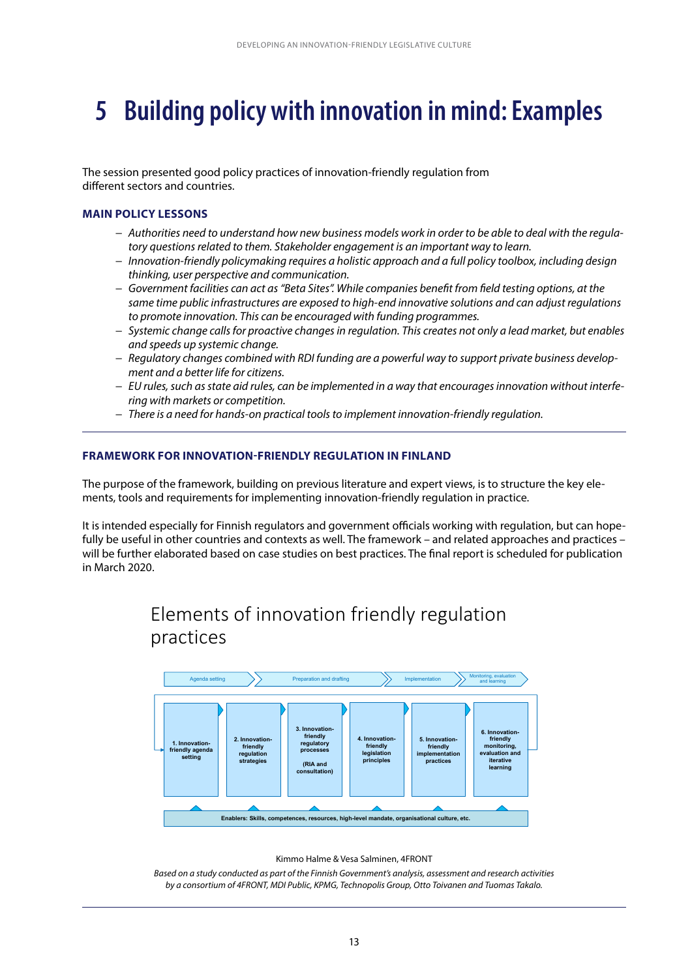# **5 Building policy with innovation in mind: Examples**

The session presented good policy practices of innovation-friendly regulation from different sectors and countries.

## **MAIN POLICY LESSONS**

- − *Authorities need to understand how new business models work in order to be able to deal with the regulatory questions related to them. Stakeholder engagement is an important way to learn.*
- − *Innovation-friendly policymaking requires a holistic approach and a full policy toolbox, including design thinking, user perspective and communication.*
- − *Government facilities can act as "Beta Sites". While companies benefit from field testing options, at the same time public infrastructures are exposed to high-end innovative solutions and can adjust regulations to promote innovation. This can be encouraged with funding programmes.*
- − *Systemic change calls for proactive changes in regulation. This creates not only a lead market, but enables and speeds up systemic change.*
- − *Regulatory changes combined with RDI funding are a powerful way to support private business development and a better life for citizens.*
- − *EU rules, such as state aid rules, can be implemented in a way that encourages innovation without interfering with markets or competition.*
- − *There is a need for hands-on practical tools to implement innovation-friendly regulation.*

## **FRAMEWORK FOR INNOVATION-FRIENDLY REGULATION IN FINLAND**

The purpose of the framework, building on previous literature and expert views, is to structure the key elements, tools and requirements for implementing innovation-friendly regulation in practice.

It is intended especially for Finnish regulators and government officials working with regulation, but can hopefully be useful in other countries and contexts as well. The framework – and related approaches and practices – will be further elaborated based on case studies on best practices. The final report is scheduled for publication in March 2020.

# Elements of innovation friendly regulation practices



#### Kimmo Halme & Vesa Salminen, 4FRONT

*Based on a study conducted as part of the Finnish Government's analysis, assessment and research activities by a consortium of 4FRONT, MDI Public, KPMG, Technopolis Group, Otto Toivanen and Tuomas Takalo.*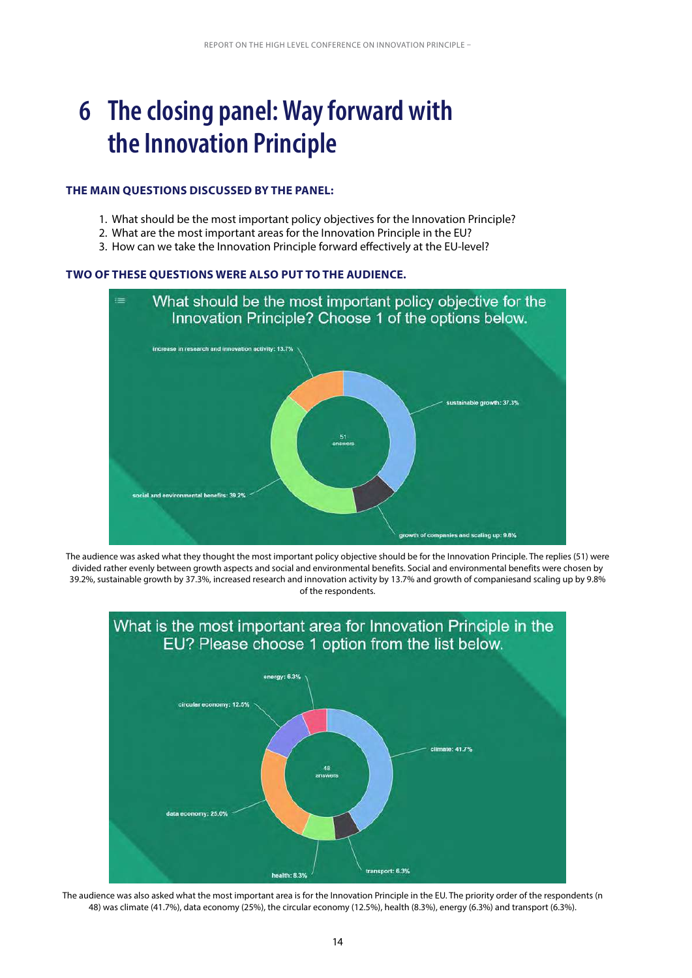# **6 The closing panel: Way forward with the Innovation Principle**

## **THE MAIN QUESTIONS DISCUSSED BY THE PANEL:**

- 1. What should be the most important policy objectives for the Innovation Principle?
- 2. What are the most important areas for the Innovation Principle in the EU?
- 3. How can we take the Innovation Principle forward effectively at the EU-level?

# **TWO OF THESE QUESTIONS WERE ALSO PUT TO THE AUDIENCE.**



The audience was asked what they thought the most important policy objective should be for the Innovation Principle. The replies (51) were divided rather evenly between growth aspects and social and environmental benefits. Social and environmental benefits were chosen by 39.2%, sustainable growth by 37.3%, increased research and innovation activity by 13.7% and growth of companiesand scaling up by 9.8% of the respondents.



The audience was also asked what the most important area is for the Innovation Principle in the EU. The priority order of the respondents (n 48) was climate (41.7%), data economy (25%), the circular economy (12.5%), health (8.3%), energy (6.3%) and transport (6.3%).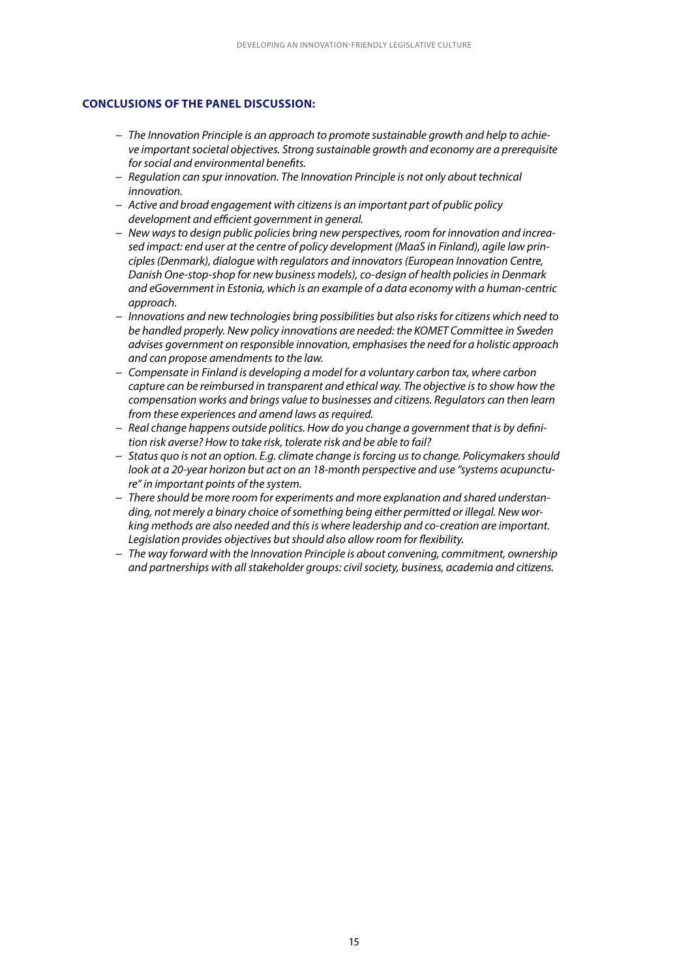### **CONCLUSIONS OF THE PANEL DISCUSSION:**

- − *The Innovation Principle is an approach to promote sustainable growth and help to achieve important societal objectives. Strong sustainable growth and economy are a prerequisite for social and environmental benefits.*
- − *Regulation can spur innovation. The Innovation Principle is not only about technical innovation.*
- − *Active and broad engagement with citizens is an important part of public policy development and efficient government in general.*
- − *New ways to design public policies bring new perspectives, room for innovation and increased impact: end user at the centre of policy development (MaaS in Finland), agile law principles (Denmark), dialogue with regulators and innovators (European Innovation Centre, Danish One-stop-shop for new business models), co-design of health policies in Denmark and eGovernment in Estonia, which is an example of a data economy with a human-centric approach.*
- − *Innovations and new technologies bring possibilities but also risks for citizens which need to be handled properly. New policy innovations are needed: the KOMET Committee in Sweden advises government on responsible innovation, emphasises the need for a holistic approach and can propose amendments to the law.*
- − *Compensate in Finland is developing a model for a voluntary carbon tax, where carbon capture can be reimbursed in transparent and ethical way. The objective is to show how the compensation works and brings value to businesses and citizens. Regulators can then learn from these experiences and amend laws as required.*
- − *Real change happens outside politics. How do you change a government that is by definition risk averse? How to take risk, tolerate risk and be able to fail?*
- − *Status quo is not an option. E.g. climate change is forcing us to change. Policymakers should look at a 20-year horizon but act on an 18-month perspective and use "systems acupuncture" in important points of the system.*
- − *There should be more room for experiments and more explanation and shared understanding, not merely a binary choice of something being either permitted or illegal. New working methods are also needed and this is where leadership and co-creation are important. Legislation provides objectives but should also allow room for flexibility.*
- − *The way forward with the Innovation Principle is about convening, commitment, ownership and partnerships with all stakeholder groups: civil society, business, academia and citizens.*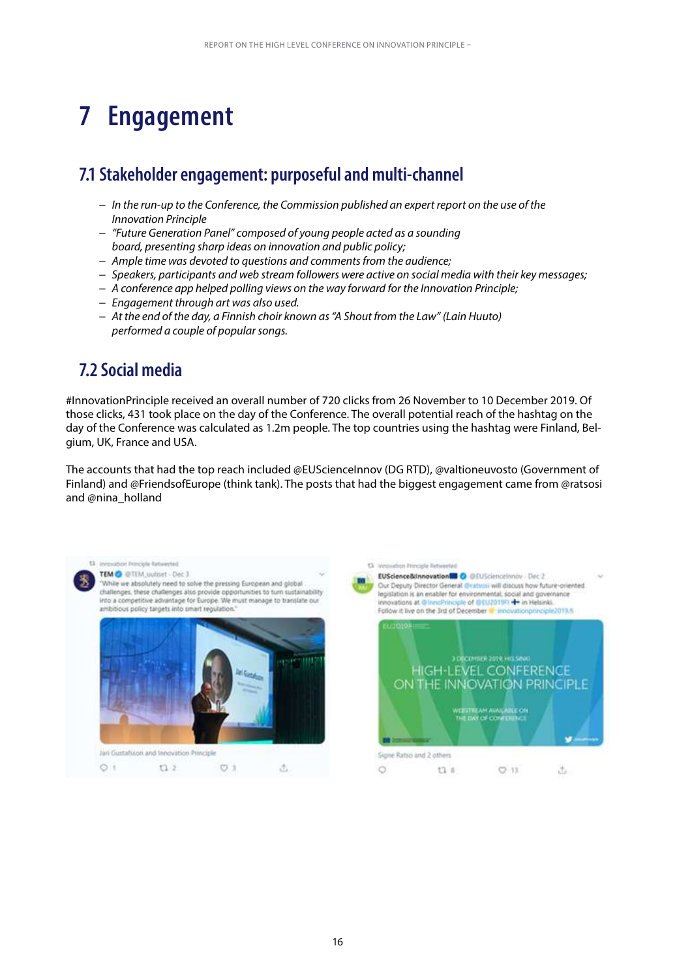# **7 Engagement**

# **7.1 Stakeholder engagement: purposeful and multi-channel**

- − *In the run-up to the Conference, the Commission published an expert report on the use of the Innovation Principle*
- − *"Future Generation Panel" composed of young people acted as a sounding board, presenting sharp ideas on innovation and public policy;*
- − *Ample time was devoted to questions and comments from the audience;*
- − *Speakers, participants and web stream followers were active on social media with their key messages;*
- − *A conference app helped polling views on the way forward for the Innovation Principle;*
- − *Engagement through art was also used.*
- − *At the end of the day, a Finnish choir known as "A Shout from the Law" (Lain Huuto) performed a couple of popular songs.*

# **7.2 Social media**

#InnovationPrinciple received an overall number of 720 clicks from 26 November to 10 December 2019. Of those clicks, 431 took place on the day of the Conference. The overall potential reach of the hashtag on the day of the Conference was calculated as 1.2m people. The top countries using the hashtag were Finland, Belgium, UK, France and USA.

The accounts that had the top reach included @EUScienceInnov (DG RTD), @valtioneuvosto (Government of Finland) and @FriendsofEurope (think tank). The posts that had the biggest engagement came from @ratsosi and @nina\_holland

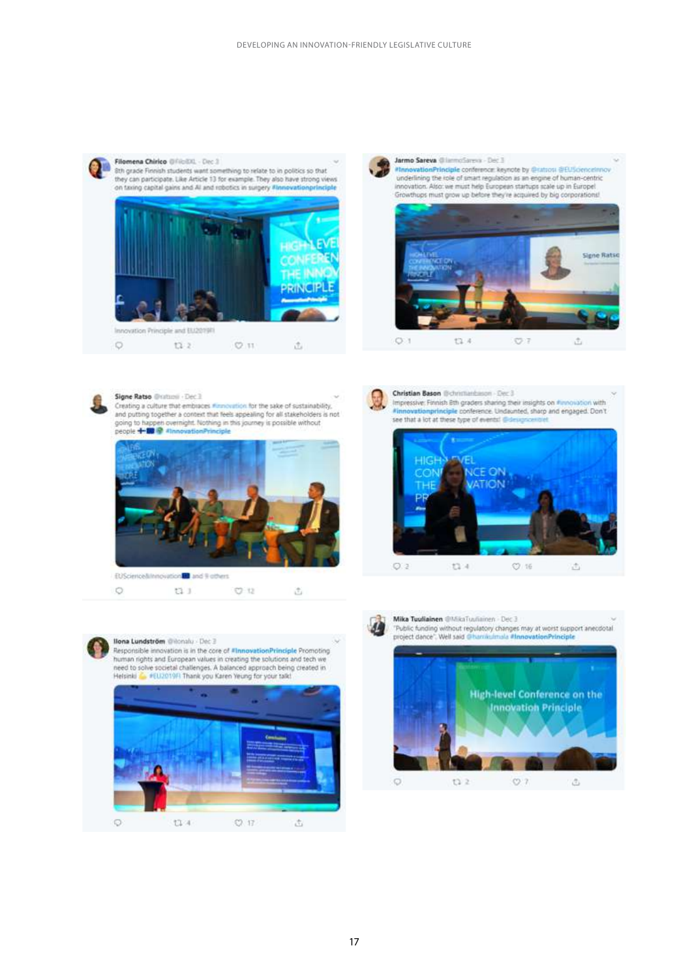

#### Filomena Chirico (FiloSXL - Dec 3)

8th grade Finnish students want something to relate to in politics so that they can participate. Like Article 13 for example. They also have strong views on taxing capital gains and Al and robotics in surgery #Innovationpri nciple





Jarmo Sareva (BlanmoSareva - Dec 3



#### Signe Ratso @nmmii - Dec 3

Creating a culture that embiaces framewation for the sake of sustainability,<br>and putting together a context that feels appealing for all stakeholders is not going to happen overnight. Nothing in this journey is possible without people + 80 @ 41nnovationPrinciple



 $\circ$  $77.12$  $13.1$ 适



### Ilona Lundström @ilonalu - Dec 3

Responsible innovation is in the core of #InnovationPrinciple Promoting<br>human rights and European values in creating the solutions and tech we<br>need to solve societal challenges. A balanced approach being created in Helsinki & #ELI2019FI Thank you Karen Yeung for your talk!













 $Q = 1$  $\sigma$  $0.2$  $0.7$ 

 $\overline{J}$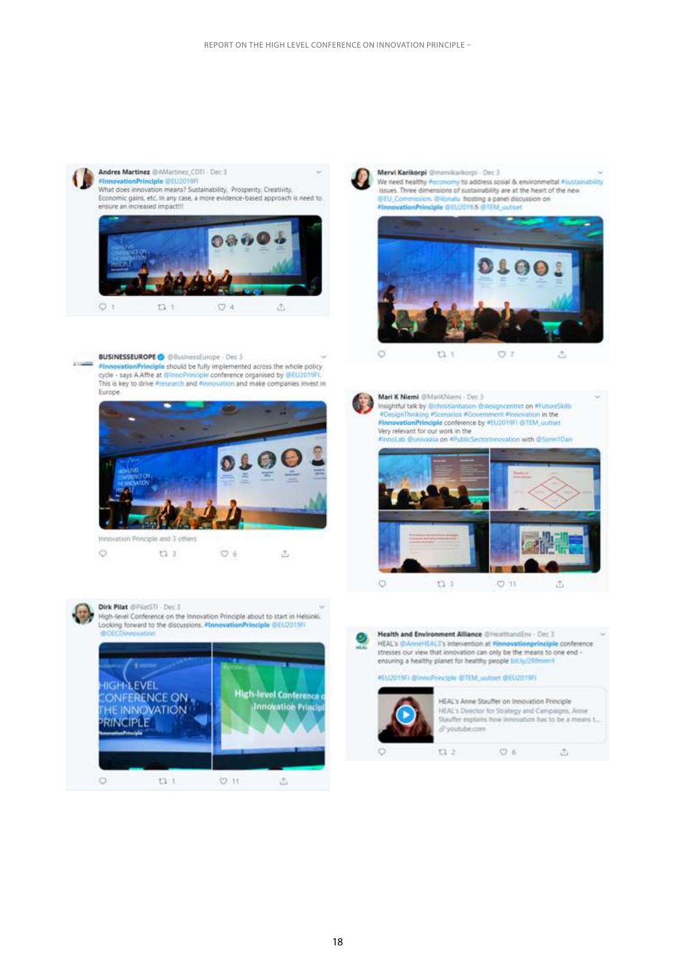

**University** 

Europe

# Andres Martinez @AMartinez\_CDTI - Dec 3

**BUSINESSEUROPE @** @ BusinessEurope Dec 3

#InnovationPriociple @EU2019FI<br>What does innovation means? Sustainability, Prosperity, Creativity, Economic gains, etc. In any case, a more evidence-based approach is need to ensure an increased impact!!!





Mervi Karikorpi (Imervikarikorpi - Dec 3) We need healthy #economy to address social & environmeltal #sustainability issues. Three dimensions of sustainability are at the heart of the new ion. @ilonalu bosting a panel discussion on **BEU Co FinnovationPrinciple @EU2015 @TEM outset** 







 $\circ$  $t3.2$  $0.6$  $\tau$ 



#### Dirk Pilat @PilatS11 - Dec.1

High-level Conference on the Innovation Principle about to start in Helsinki. Looking forward to the discussions. #InnovationPrinciple @EU2019/1



Insightful talk by @christianbason. @designcentrict po #FutureSkillin<br>Rogering initiality @christianbason. @designcentrict po #FutureSkilline<br>Pleasant Trincing #Scenarios #Government #Innovation in the<br>Wery relevant for ou olab @univaasa on #PublicSectorInnovation with @Sonn1Dan

Mari K Niemi @MariOliemi - Dec 3



Health and Environment Alliance (MeximumSny - Dec 3) HEAL's @AnneHEALE's intervention at #innovationprinciple conference stresses our view that innovation can only be the means to one end ensuring a healthy planet for healthy people bit.ly/2RhmmV

#ELIZO1561 @ tx Principle (FTEM, outlier @EU2019F)



Ø

HEAL's Anne Stauffer on Innovation Principle HEAL's Director for Strategy and Campaigns, Anne Stauffer explains how innovation has to be a means t... d'unitabe com

 $13.2$  0 6  $\tilde{\varpi}$  ×.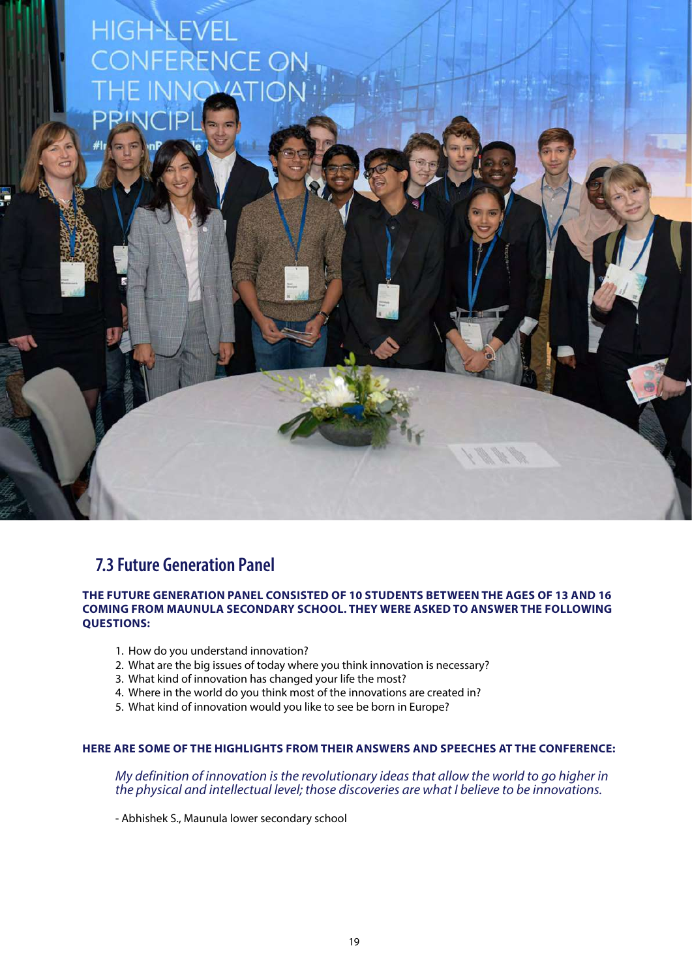**HIGH-Y** DEVELOPING AN INNOVATION-FRIENDLY LEGISLATIVE CULTURE CE G

# **7.3 Future Generation Panel**

## **THE FUTURE GENERATION PANEL CONSISTED OF 10 STUDENTS BETWEEN THE AGES OF 13 AND 16 COMING FROM MAUNULA SECONDARY SCHOOL. THEY WERE ASKED TO ANSWER THE FOLLOWING QUESTIONS:**

- 1. How do you understand innovation?
- 2. What are the big issues of today where you think innovation is necessary?
- 3. What kind of innovation has changed your life the most?
- 4. Where in the world do you think most of the innovations are created in?
- 5. What kind of innovation would you like to see be born in Europe?

## **HERE ARE SOME OF THE HIGHLIGHTS FROM THEIR ANSWERS AND SPEECHES AT THE CONFERENCE:**

*My definition of innovation is the revolutionary ideas that allow the world to go higher in the physical and intellectual level; those discoveries are what I believe to be innovations.*

- Abhishek S., Maunula lower secondary school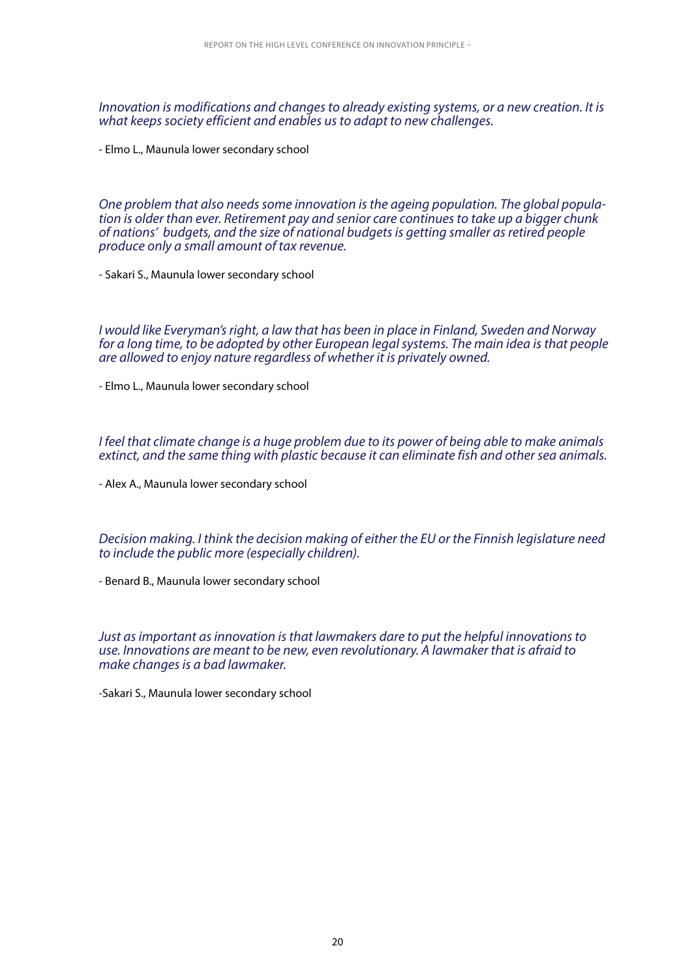*Innovation is modifications and changes to already existing systems, or a new creation. It is what keeps society efficient and enables us to adapt to new challenges.*

- Elmo L., Maunula lower secondary school

*One problem that also needs some innovation is the ageing population. The global population is older than ever. Retirement pay and senior care continues to take up a bigger chunk of nations' budgets, and the size of national budgets is getting smaller as retired people produce only a small amount of tax revenue.* 

- Sakari S., Maunula lower secondary school

*I would like Everyman's right, a law that has been in place in Finland, Sweden and Norway for a long time, to be adopted by other European legal systems. The main idea is that people are allowed to enjoy nature regardless of whether it is privately owned.* 

- Elmo L., Maunula lower secondary school

*I feel that climate change is a huge problem due to its power of being able to make animals extinct, and the same thing with plastic because it can eliminate fish and other sea animals.*

- Alex A., Maunula lower secondary school

*Decision making. I think the decision making of either the EU or the Finnish legislature need to include the public more (especially children).*

- Benard B., Maunula lower secondary school

*Just as important as innovation is that lawmakers dare to put the helpful innovations to use. Innovations are meant to be new, even revolutionary. A lawmaker that is afraid to make changes is a bad lawmaker.*

-Sakari S., Maunula lower secondary school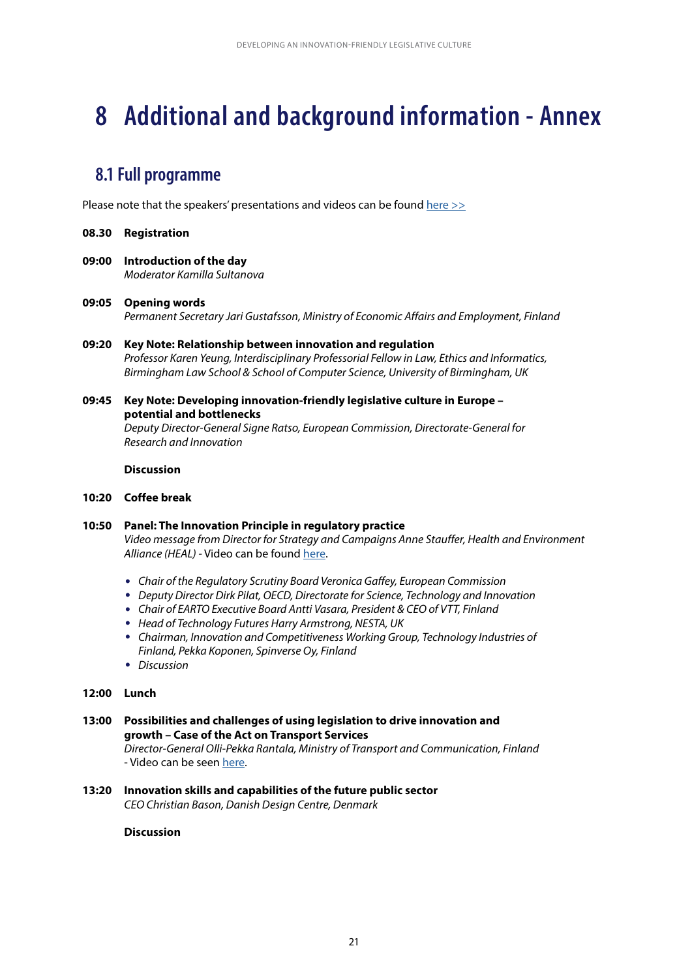# **8 Additional and background information - Annex**

# **8.1 Full programme**

Please note that the speakers' presentations and videos can be found here  $\gg$ 

### **08.30 Registration**

- **09:00 Introduction of the day**  *Moderator Kamilla Sultanova*
- **09:05 Opening words**  *Permanent Secretary Jari Gustafsson, Ministry of Economic Affairs and Employment, Finland*
- **09:20 Key Note: Relationship between innovation and regulation**  *Professor Karen Yeung, Interdisciplinary Professorial Fellow in Law, Ethics and Informatics, Birmingham Law School & School of Computer Science, University of Birmingham, UK*
- **09:45 Key Note: Developing innovation-friendly legislative culture in Europe potential and bottlenecks** *Deputy Director-General Signe Ratso, European Commission, Directorate-General for Research and Innovation*

### **Discussion**

### **10:20 Coffee break**

- **10:50 Panel: The Innovation Principle in regulatory practice**  *Video message from Director for Strategy and Campaigns Anne Stauffer, Health and Environment Alliance (HEAL) -* Video can be found [here](http://here).
	- *• Chair of the Regulatory Scrutiny Board Veronica Gaffey, European Commission*
	- *• Deputy Director Dirk Pilat, OECD, Directorate for Science, Technology and Innovation*
	- *• Chair of EARTO Executive Board Antti Vasara, President & CEO of VTT, Finland*
	- *• Head of Technology Futures Harry Armstrong, NESTA, UK*
	- *• Chairman, Innovation and Competitiveness Working Group, Technology Industries of Finland, Pekka Koponen, Spinverse Oy, Finland*
	- *• Discussion*

## **12:00 Lunch**

- **13:00 Possibilities and challenges of using legislation to drive innovation and growth – Case of the Act on Transport Services**  *Director-General Olli-Pekka Rantala, Ministry of Transport and Communication, Finland*  - Video can be seen [here.](http://here)
- **13:20 Innovation skills and capabilities of the future public sector**   *CEO Christian Bason, Danish Design Centre, Denmark*

### **Discussion**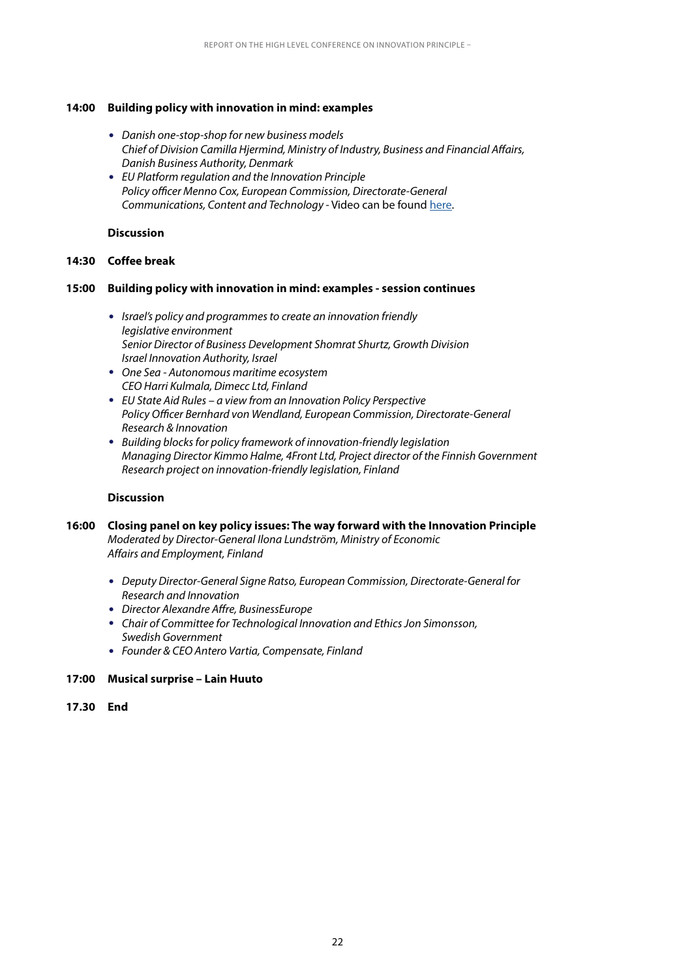## **14:00 Building policy with innovation in mind: examples**

- *• Danish one-stop-shop for new business models Chief of Division Camilla Hjermind, Ministry of Industry, Business and Financial Affairs, Danish Business Authority, Denmark*
- *• EU Platform regulation and the Innovation Principle Policy officer Menno Cox, European Commission, Directorate-General Communications, Content and Technology* - Video can be found [here.](http://here)

## **Discussion**

## **14:30 Coffee break**

## **15:00 Building policy with innovation in mind: examples - session continues**

- *• Israel's policy and programmes to create an innovation friendly legislative environment Senior Director of Business Development Shomrat Shurtz, Growth Division Israel Innovation Authority, Israel*
- *• One Sea Autonomous maritime ecosystem CEO Harri Kulmala, Dimecc Ltd, Finland*
- *• EU State Aid Rules a view from an Innovation Policy Perspective Policy Officer Bernhard von Wendland, European Commission, Directorate-General Research & Innovation*
- *• Building blocks for policy framework of innovation-friendly legislation Managing Director Kimmo Halme, 4Front Ltd, Project director of the Finnish Government Research project on innovation-friendly legislation, Finland*

### **Discussion**

- **16:00 Closing panel on key policy issues: The way forward with the Innovation Principle**  *Moderated by Director-General Ilona Lundström, Ministry of Economic Affairs and Employment, Finland*
	- *• Deputy Director-General Signe Ratso, European Commission, Directorate-General for Research and Innovation*
	- *• Director Alexandre Affre, BusinessEurope*
	- *• Chair of Committee for Technological Innovation and Ethics Jon Simonsson, Swedish Government*
	- *• Founder & CEO Antero Vartia, Compensate, Finland*

## **17:00 Musical surprise – Lain Huuto**

### **17.30 End**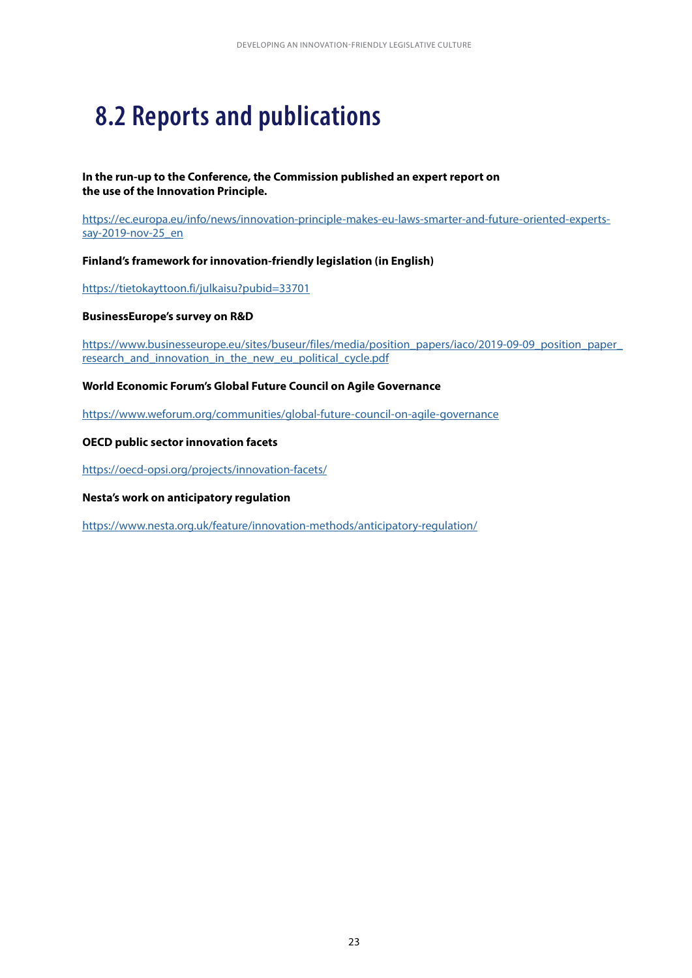# **8.2 Reports and publications**

**In the run-up to the Conference, the Commission published an expert report on the use of the Innovation Principle.** 

[https://ec.europa.eu/info/news/innovation-principle-makes-eu-laws-smarter-and-future-oriented-experts](https://ec.europa.eu/info/news/innovation-principle-makes-eu-laws-smarter-and-future-oriented-experts-say-2019-nov-25_en)[say-2019-nov-25\\_en](https://ec.europa.eu/info/news/innovation-principle-makes-eu-laws-smarter-and-future-oriented-experts-say-2019-nov-25_en)

## **Finland's framework for innovation-friendly legislation (in English)**

[https://tietokayttoon.fi/julkaisu?pubid=33701](https://tietokayttoon.fi/julkaisu?pubid=33701 )

### **BusinessEurope's survey on R&D**

[https://www.businesseurope.eu/sites/buseur/files/media/position\\_papers/iaco/2019-09-09\\_position\\_paper\\_](https://www.businesseurope.eu/sites/buseur/files/media/position_papers/iaco/2019-09-09_position_paper_research_and_innovation_in_the_new_eu_political_cycle.pdf ) [research\\_and\\_innovation\\_in\\_the\\_new\\_eu\\_political\\_cycle.pdf](https://www.businesseurope.eu/sites/buseur/files/media/position_papers/iaco/2019-09-09_position_paper_research_and_innovation_in_the_new_eu_political_cycle.pdf )

### **World Economic Forum's Global Future Council on Agile Governance**

[https://www.weforum.org/communities/global-future-council-on-agile-governance](https://www.weforum.org/communities/global-future-council-on-agile-governance )

### **OECD public sector innovation facets**

[https://oecd-opsi.org/projects/innovation-facets/](https://oecd-opsi.org/projects/innovation-facets/ )

**Nesta's work on anticipatory regulation** 

[https://www.nesta.org.uk/feature/innovation-methods/anticipatory-regulation/](https://www.nesta.org.uk/feature/innovation-methods/anticipatory-regulation/ )